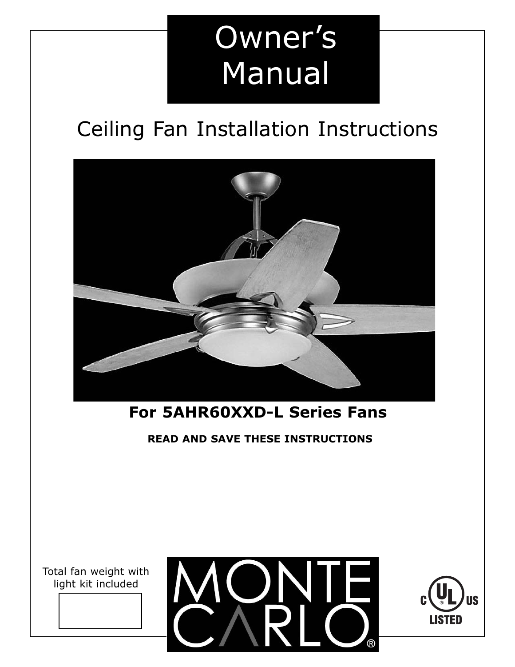# Owner's Manual

## Ceiling Fan Installation Instructions



## **For 5AHR60XXD-L Series Fans**

**READ AND SAVE THESE INSTRUCTIONS**

Total fan weight with light kit included



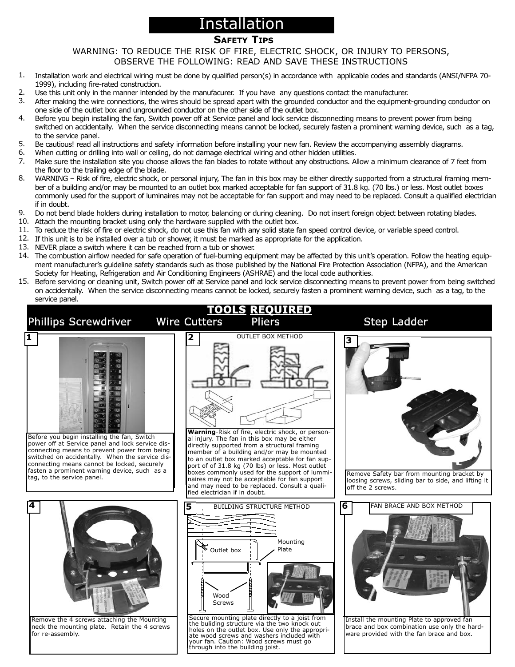## Installation

#### **SAFETY TIPS**

#### WARNING: TO REDUCE THE RISK OF FIRE, ELECTRIC SHOCK, OR INJURY TO PERSONS, OBSERVE THE FOLLOWING: READ AND SAVE THESE INSTRUCTIONS

- Installation work and electrical wiring must be done by qualified person(s) in accordance with applicable codes and standards (ANSI/NFPA 70- 1999), including fire-rated construction. 1.
- Use this unit only in the manner intended by the manufacurer. If you have any questions contact the manufacturer.  $\mathcal{L}$
- After making the wire connections, the wires should be spread apart with the grounded conductor and the equipment-grounding conductor on one side of the outlet box and ungrounded conductor on the other side of the outlet box. 3.
- Before you begin installing the fan, Switch power off at Service panel and lock service disconnecting means to prevent power from being switched on accidentally. When the service disconnecting means cannot be locked, securely fasten a prominent warning device, such as a tag, to the service panel. 4.
- Be cautious! read all instructions and safety information before installing your new fan. Review the accompanying assembly diagrams. 5.
- When cutting or drilling into wall or ceiling, do not damage electrical wiring and other hidden utilities. 6.
- Make sure the installation site you choose allows the fan blades to rotate without any obstructions. Allow a minimum clearance of 7 feet from the floor to the trailing edge of the blade. 7.
- WARNING Risk of fire, electric shock, or personal injury, The fan in this box may be either directly supported from a structural framing member of a building and/or may be mounted to an outlet box marked acceptable for fan support of 31.8 kg. (70 lbs.) or less. Most outlet boxes commonly used for the support of luminaires may not be acceptable for fan support and may need to be replaced. Consult a qualified electrician if in doubt. 8.
- Do not bend blade holders during installation to motor, balancing or during cleaning. Do not insert foreign object between rotating blades. 9.
- 10. Attach the mounting bracket using only the hardware supplied with the outlet box.
- 11. To reduce the risk of fire or electric shock, do not use this fan with any solid state fan speed control device, or variable speed control.
- 12. If this unit is to be installed over a tub or shower, it must be marked as appropriate for the application.
- 13. NEVER place a switch where it can be reached from a tub or shower.
- 14. The combustion airflow needed for safe operation of fuel-burning equipment may be affected by this unit's operation. Follow the heating equipment manufacturer's guideline safety standards such as those published by the National Fire Protection Association (NFPA), and the American Society for Heating, Refrigeration and Air Conditioning Engineers (ASHRAE) and the local code authorities.
- 15. Before servicing or cleaning unit, Switch power off at Service panel and lock service disconnecting means to prevent power from being switched on accidentally. When the service disconnecting means cannot be locked, securely fasten a prominent warning device, such as a tag, to the service panel.

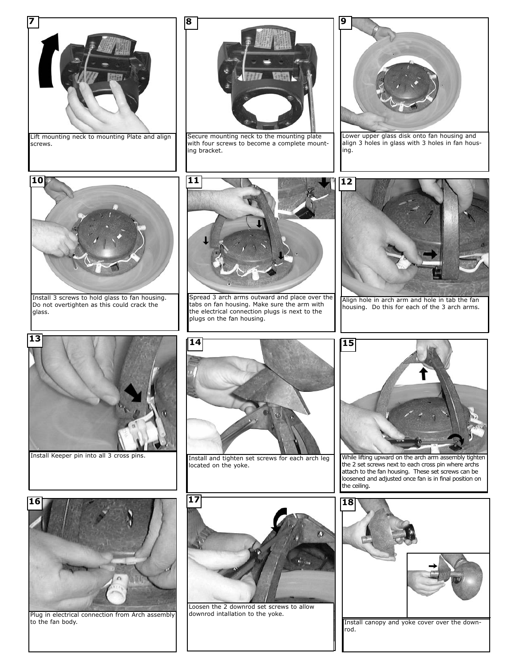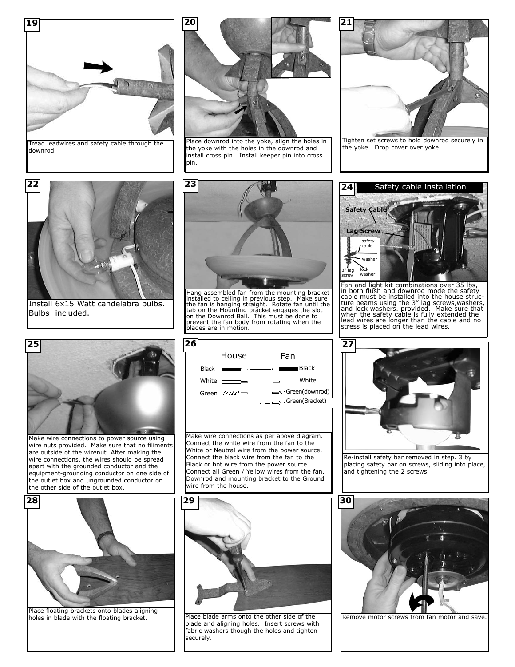

Tread leadwires and safety cable through the downrod.



Place downrod into the yoke, align the holes in the yoke with the holes in the downrod and install cross pin. Install keeper pin into cross pin.



the yoke. Drop cover over yoke.



Install 6x15 Watt candelabra bulbs. Bulbs included.



Make wire connections to power source using wire nuts provided. Make sure that no filiments are outside of the wirenut. After making the wire connections, the wires should be spread apart with the grounded conductor and the equipment-grounding conductor on one side of the outlet box and ungrounded conductor on the other side of the outlet box.



Hang assembled fan from the mounting bracket<br>installed to ceiling in previous step. Make sure<br>the fan is hanging straight. Rotate fan until the<br>tab on the Mounting bracket engages the slot<br>on the Downrod Ball. This must be prevent the fan body from rotating when the blades are in motion.



Make wire connections as per above diagram. Connect the white wire from the fan to the White or Neutral wire from the power source. Connect the black wire from the fan to the Black or hot wire from the power source. Connect all Green / Yellow wires from the fan, Downrod and mounting bracket to the Ground wire from the house.



Place floating brackets onto blades aligning holes in blade with the floating bracket. **Place blade arms onto the other side of the** 



blade and aligning holes. Insert screws with fabric washers though the holes and tighten securely.



Fan and light kit combinations over 35 lbs, in both flush and downrod mode the safety cable must be installed into the house structure beams using the 3" lag screws, washers, and lock washers. provided. Make sure that when the safety cable is fully extended the lead wires are longer than the cable and no st



Re-install safety bar removed in step. 3 by placing safety bar on screws, sliding into place, and tightening the 2 screws.



Remove motor screws from fan motor and save.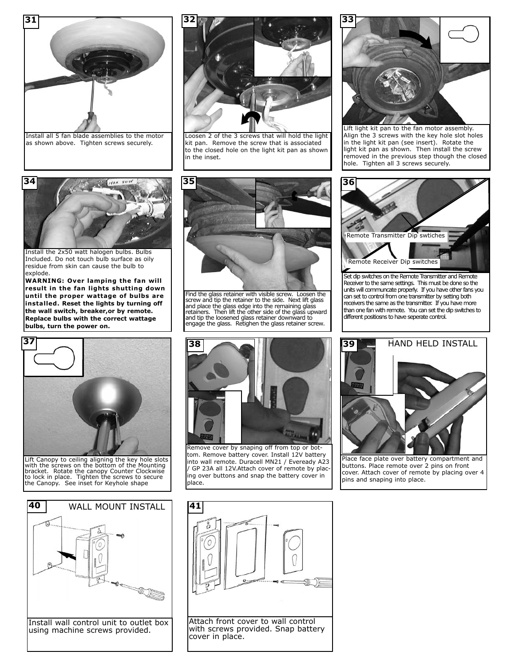

as shown above. Tighten screws securely.



Loosen 2 of the 3 screws that will hold the light kit pan. Remove the screw that is associated to the closed hole on the light kit pan as shown in the inset.



Lift light kit pan to the fan motor assembly. Align the 3 screws with the key hole slot holes in the light kit pan (see insert). Rotate the light kit pan as shown. Then install the screw removed in the previous step though the closed hole. Tighten all 3 screws securely.



Install the 2x50 watt halogen bulbs. Bulbs Included. Do not touch bulb surface as oily residue from skin can cause the bulb to explode.

**WARNING: Over lamping the fan will result in the fan lights shutting down until the proper wattage of bulbs are installed. Reset the lights by turning off the wall switch, breaker,or by remote. Replace bulbs with the correct wattage bulbs, turn the power on.**



Lift Canopy to ceiling aligning the key hole slots with the screws on the bottom of the Mounting bracket. Rotate the canopy Counter Clockwise to lock in place. Tighten the screws to secure the Canopy. See inset for Keyhole shape





Find the glass retainer with visible screw. Loosen the screw and tip the retainer to the side. Next lift glass and place the glass edge into the remaining glass retainers. Then lift the other side of the glass upward and tip the loosened glass retainer downward to engage the glass. Retighen the glass retainer screw.



Remove cover by snaping off from top or bottom. Remove battery cover. Install 12V battery into wall remote. Duracell MN21 / Eveready A23 / GP 23A all 12V.Attach cover of remote by placing over buttons and snap the battery cover in place.



Set dip switches on the Remote Transmitter and Remote Receiver to the same settings. This must be done so the units will communcate properly. If you have other fans you can set to control from one transmitter by setting both receivers the same as the transmitter. If you have more than one fan with remote. You can set the dip switches to different positiosns to have seperate control.



buttons. Place remote over 2 pins on front cover. Attach cover of remote by placing over 4 pins and snaping into place.

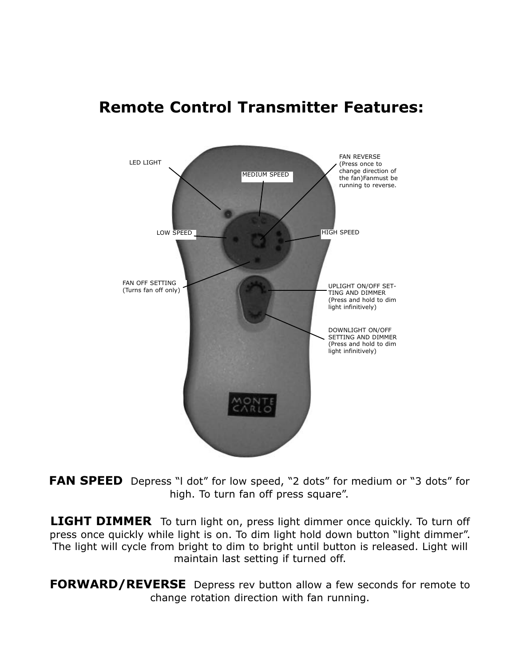## **Remote Control Transmitter Features:**



**FAN SPEED** Depress "I dot" for low speed, "2 dots" for medium or "3 dots" for high. To turn fan off press square".

**LIGHT DIMMER** To turn light on, press light dimmer once quickly. To turn off press once quickly while light is on. To dim light hold down button "light dimmer". The light will cycle from bright to dim to bright until button is released. Light will maintain last setting if turned off.

**FORWARD/REVERSE** Depress rev button allow a few seconds for remote to change rotation direction with fan running.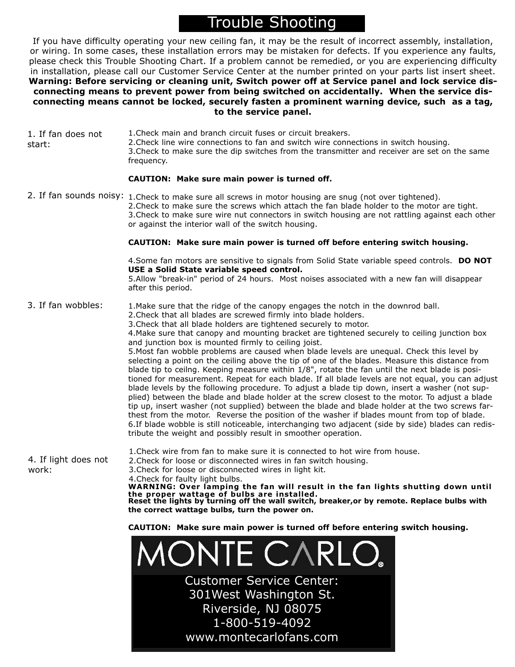### Trouble Shooting

If you have difficulty operating your new ceiling fan, it may be the result of incorrect assembly, installation, or wiring. In some cases, these installation errors may be mistaken for defects. If you experience any faults, please check this Trouble Shooting Chart. If a problem cannot be remedied, or you are experiencing difficulty in installation, please call our Customer Service Center at the number printed on your parts list insert sheet. **Warning: Before servicing or cleaning unit, Switch power off at Service panel and lock service disconnecting means to prevent power from being switched on accidentally. When the service disconnecting means cannot be locked, securely fasten a prominent warning device, such as a tag, to the service panel.**

1.Check main and branch circuit fuses or circuit breakers. 2.Check line wire connections to fan and switch wire connections in switch housing. 3.Check to make sure the dip switches from the transmitter and receiver are set on the same frequency. 1. If fan does not start:

#### **CAUTION: Make sure main power is turned off.**

2. If fan sounds noisy: 1. Check to make sure all screws in motor housing are snug (not over tightened). 2.Check to make sure the screws which attach the fan blade holder to the motor are tight. 3.Check to make sure wire nut connectors in switch housing are not rattling against each other or against the interior wall of the switch housing.

#### **CAUTION: Make sure main power is turned off before entering switch housing.**

4.Some fan motors are sensitive to signals from Solid State variable speed controls. **DO NOT USE a Solid State variable speed control.**

5.Allow "break-in" period of 24 hours. Most noises associated with a new fan will disappear after this period.

1.Make sure that the ridge of the canopy engages the notch in the downrod ball. 3. If fan wobbles:

**the correct wattage bulbs, turn the power on.**

2.Check that all blades are screwed firmly into blade holders.

3.Check that all blade holders are tightened securely to motor.

4.Make sure that canopy and mounting bracket are tightened securely to ceiling junction box and junction box is mounted firmly to ceiling joist.

5.Most fan wobble problems are caused when blade levels are unequal. Check this level by selecting a point on the ceiling above the tip of one of the blades. Measure this distance from blade tip to ceilng. Keeping measure within 1/8", rotate the fan until the next blade is positioned for measurement. Repeat for each blade. If all blade levels are not equal, you can adjust blade levels by the following procedure. To adjust a blade tip down, insert a washer (not supplied) between the blade and blade holder at the screw closest to the motor. To adjust a blade tip up, insert washer (not supplied) between the blade and blade holder at the two screws farthest from the motor. Reverse the position of the washer if blades mount from top of blade. 6.If blade wobble is still noticeable, interchanging two adjacent (side by side) blades can redistribute the weight and possibly result in smoother operation.

4. If light does not work:

2.Check for loose or disconnected wires in fan switch housing. 3.Check for loose or disconnected wires in light kit. 4.Check for faulty light bulbs. **WARNING: Over lamping the fan will result in the fan lights shutting down until the proper wattage of bulbs are installed. Reset the lights by turning off the wall switch, breaker,or by remote. Replace bulbs with**

1.Check wire from fan to make sure it is connected to hot wire from house.

**CAUTION: Make sure main power is turned off before entering switch housing.**